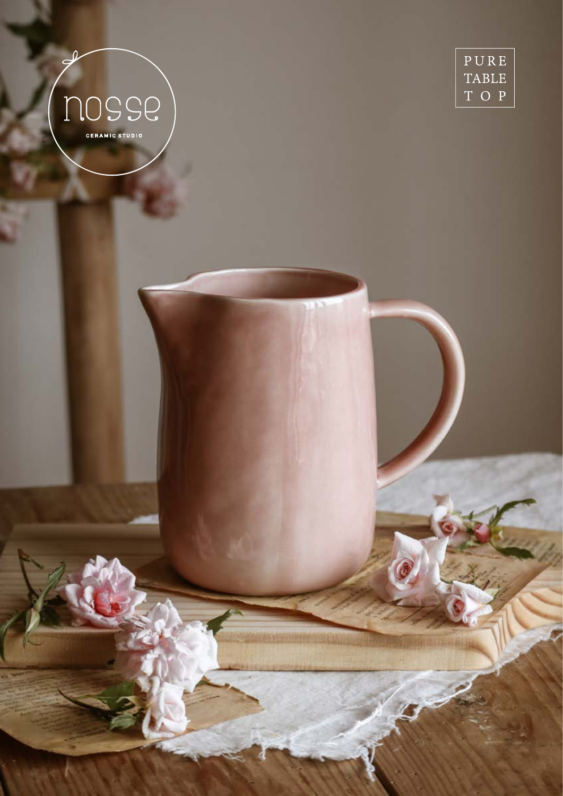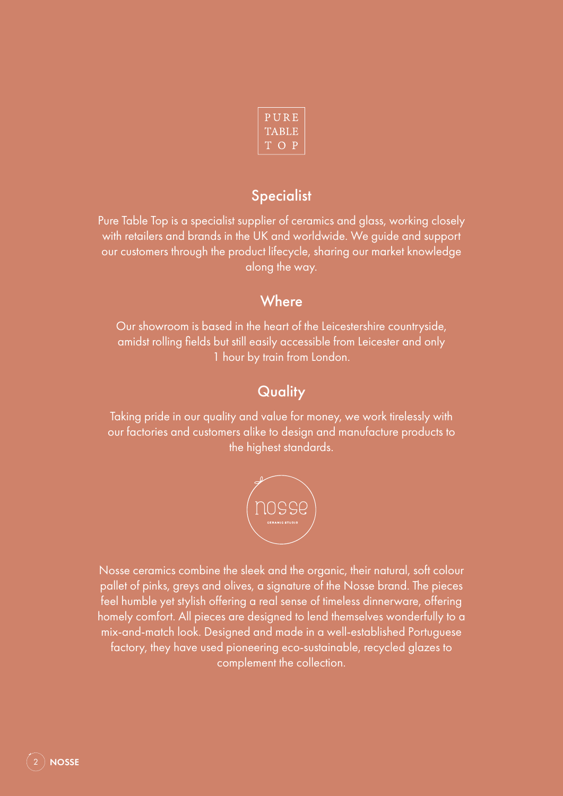| PURE  |  |
|-------|--|
| TABLE |  |
| ТОР   |  |

## **Specialist**

Pure Table Top is a specialist supplier of ceramics and glass, working closely with retailers and brands in the UK and worldwide. We guide and support our customers through the product lifecycle, sharing our market knowledge along the way.

## **Where**

Our showroom is based in the heart of the Leicestershire countryside, amidst rolling fields but still easily accessible from Leicester and only 1 hour by train from London.

# **Quality**

Taking pride in our quality and value for money, we work tirelessly with our factories and customers alike to design and manufacture products to the highest standards.



Nosse ceramics combine the sleek and the organic, their natural, soft colour pallet of pinks, greys and olives, a signature of the Nosse brand. The pieces feel humble yet stylish offering a real sense of timeless dinnerware, offering homely comfort. All pieces are designed to lend themselves wonderfully to a mix-and-match look. Designed and made in a well-established Portuguese factory, they have used pioneering eco-sustainable, recycled glazes to complement the collection.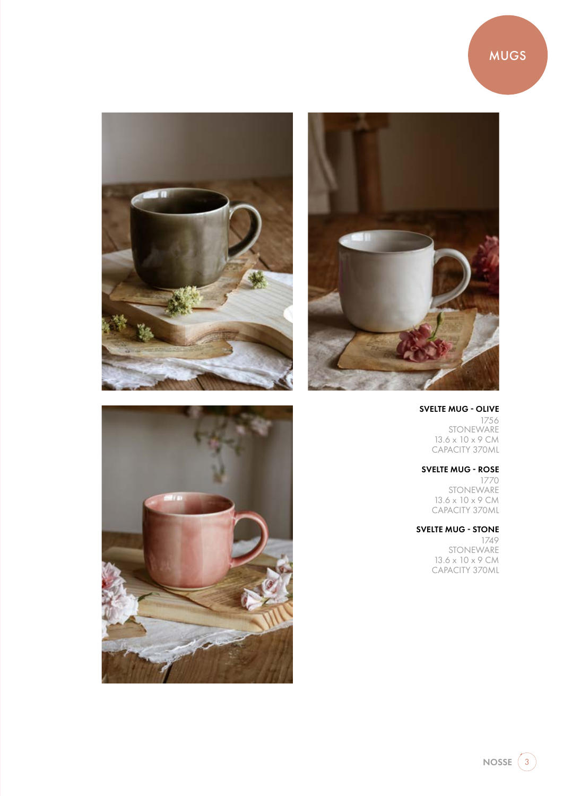



### SVELTE MUG - OLIVE

1756 **STONEWARE** 13.6 x 10 x 9 CM CAPACITY 370ML

## SVELTE MUG - ROSE

1770 STONEWARE 13.6 x 10 x 9 CM CAPACITY 370ML

## SVELTE MUG - STONE

1749 STONEWARE 13.6 x 10 x 9 CM CAPACITY 370ML





 $NOSSE$   $\bigcirc$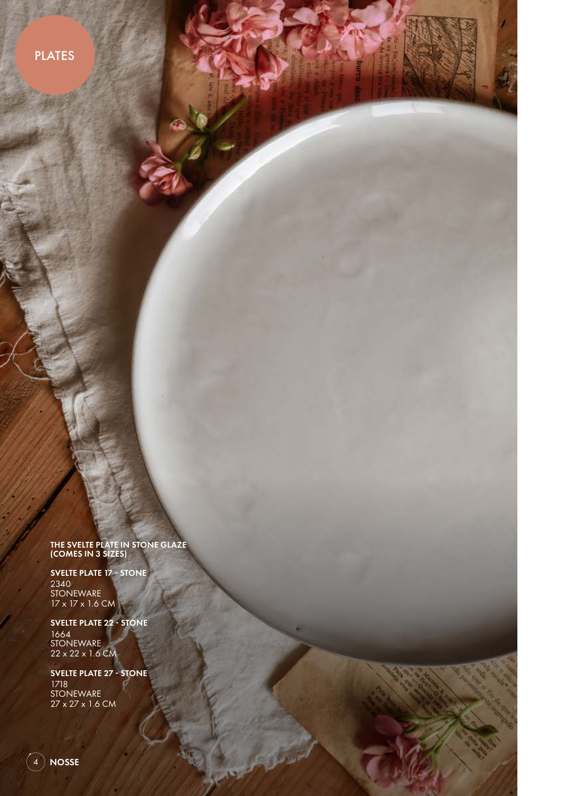**PLATES** 

THE SVELTE PLATE IN STONE GLAZE (COMES IN 3 SIZES)

SVELTE PLATE 17 - STONE 2340 STONEWARE 17 x 17 x 1.6 CM

SVELTE PLATE 22 - STONE 1664 STONEWARE 22 x 22 x 1.6 CM

SVELTE PLATE 27 - STONE 1718 STONEWARE 27 x 27 x 1.6 CM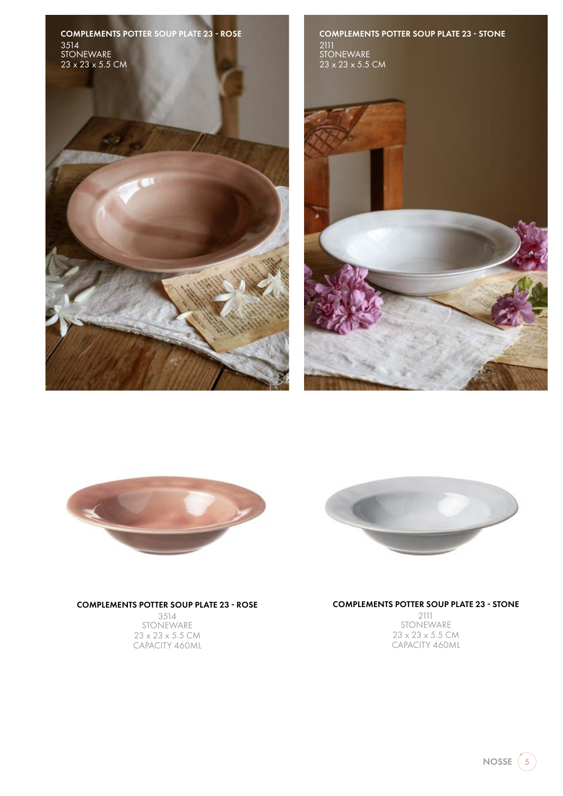COMPLEMENTS POTTER SOUP PLATE 23 - ROSE 3514 **STONEWARE** 23 x 23 x 5.5 CM











#### COMPLEMENTS POTTER SOUP PLATE 23 - ROSE

3514 STONEWARE 23 x 23 x 5.5 CM CAPACITY 460ML

#### COMPLEMENTS POTTER SOUP PLATE 23 - STONE

2111 STONEWARE 23 x 23 x 5.5 CM CAPACITY 460ML

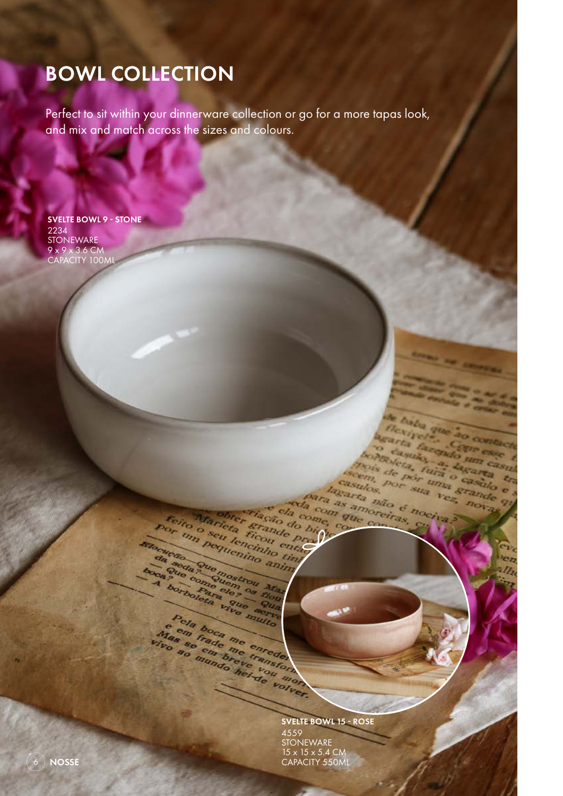# BOWL COLLECTION

Perfect to sit within your dinnerware collection or go for a more tapas look, and mix and match across the sizes and colours.

SVELTE BOWL 9 - STONE 2234 **STONEWARE** 9 x 9 x 3.6 CM CAPACITY 100ML

SVELTE BOWL 15 - ROSE

casulos.

para as amoreiras

para as amor e cla come, com

Marieta Beau enciado Para

Felio Marieta Erande Pacificada For thrick English of

Pola boca me emeterizador de la baca me emeterizador de la mendia de la mendia de la mendia de la mendia de la mendia de la mendia de la mendia de la mendia de la mendia de la mendia de la mendia de la mendia de la mendia

**ETRAIN POSITION CREATED AND ACTION CALLS AND POSITION ATTACK AND STRAIN AND ACTION AND ACTION AND ACTION AND ACTION AND ACTION AND ACTION AND ACTION AND ACTION AND ACTION AND ACTION ACTION ACTION ACTION ACTION ACTION ACTI** 

hasulos, Por sua vel

de haba que ao contacti legarta de contacta de la contacta de la contacta de la contacta de la casa de la casa de la casa de la casa de la casa de la casa de la casa de la casa de la casa de la casa de la casa de la casa de la casa de la casa de mois de por uma casulo en casulo en la por uma casulo en la casulo en la casulo en la casulo en la casulo en la casulo en la casulo en la casulo en la casulo en la casulo en la casulo en la casulo en la casulo en la casulo seem, Bor sun vestilation of the strainer

73

4559 **STONEWARE** 15 x 15 x 5.4 CM CAPACITY 550ML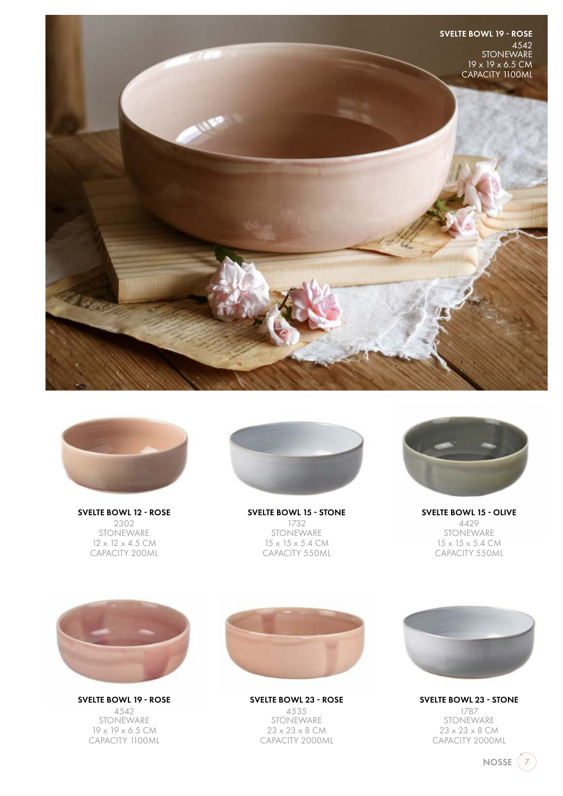



SVELTE BOWL 12 - ROSE 2302 STONEWARE  $12 \times 12 \times 4.5$  CM CAPACITY 200ML



SVELTE BOWL 15 - STONE 1732 STONEWARE 15 x 15 x 5.4 CM CAPACITY 550ML



SVELTE BOWL 15 - OLIVE 4429 STONEWARE  $15 \times 15 \times 5.4$  CM CAPACITY 550ML



SVELTE BOWL 19 - ROSE 4542 **STONEWARE** 19 x 19 x 6.5 CM CAPACITY 1100ML



SVELTE BOWL 23 - ROSE 4535 STONEWARE 23 x 23 x 8 CM CAPACITY 2000ML



SVELTE BOWL 23 - STONE 1787 **STONEWARE** 23 x 23 x 8 CM CAPACITY 2000ML

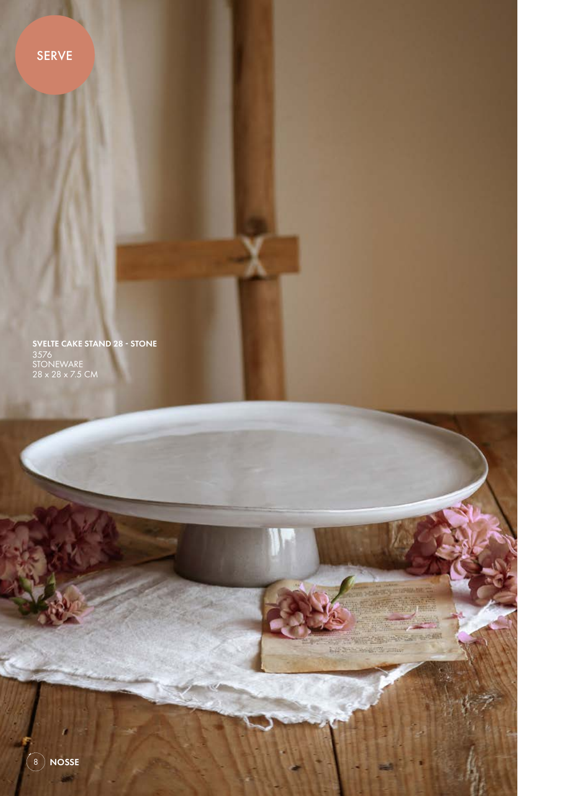SERVE

SVELTE CAKE STAND 28 - STONE 3576 STONEWARE 28 x 28 x 7.5 CM

**THE ASSESSMENT** 

 $\sqrt{2}$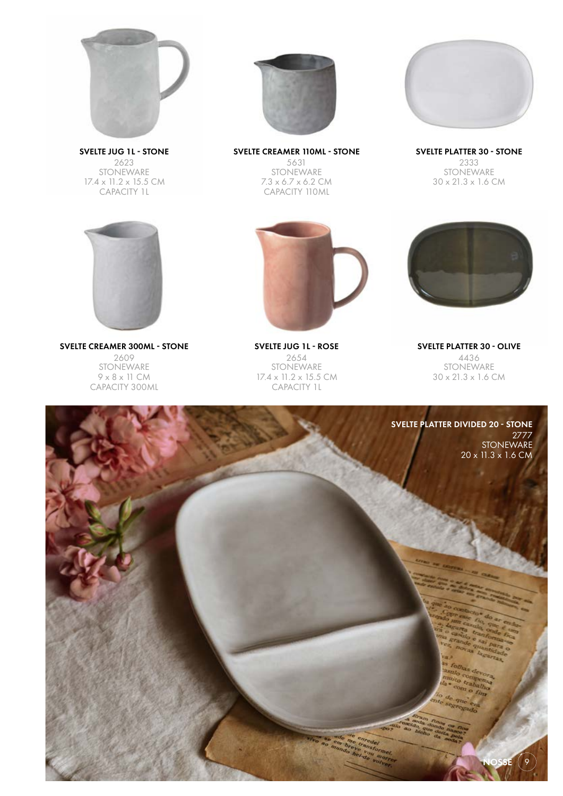

SVELTE JUG 1L - STONE 2623 STONEWARE 17.4 x 11.2 x 15.5 CM CAPACITY 1L



SVELTE PLATTER 30 - STONE SVELTE CREAMER 110ML - STONE 5631 STONEWARE 7.3 x 6.7 x 6.2 CM CAPACITY 110ML



2333 STONEWARE 30 x 21.3 x 1.6 CM



SVELTE CREAMER 300ML - STONE 2609 STONEWARE 9 x 8 x 11 CM CAPACITY 300ML



SVELTE JUG 1L - ROSE 2654 STONEWARE 17.4 x 11.2 x 15.5 CM CAPACITY 1L



SVELTE PLATTER 30 - OLIVE 4436 STONEWARE 30 x 21.3 x 1.6 CM

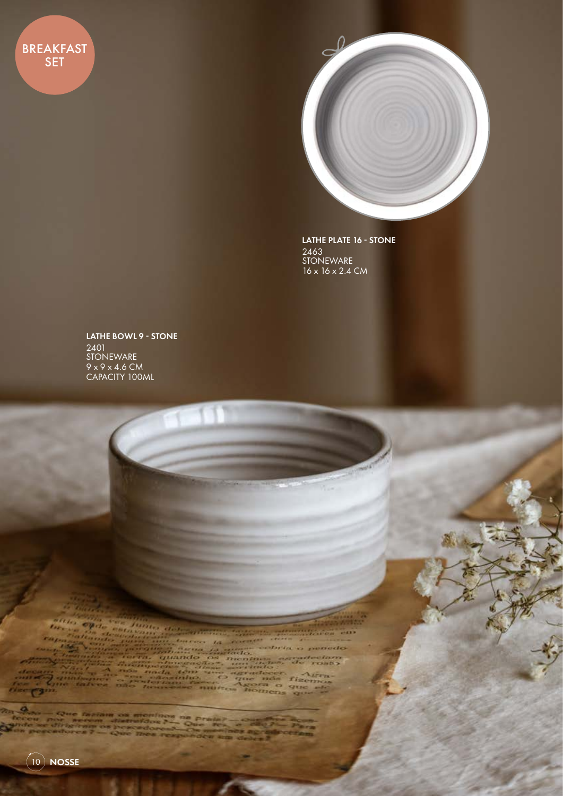**BREAKFAST** SET



LATHE PLATE 16 - STONE 2463 **STONEWARE** 16 x 16 x 2.4 CM

LATHE BOWL 9 - STONE 2401 STONEWARE 9 x 9 x 4.6 CM CAPACITY 100ML

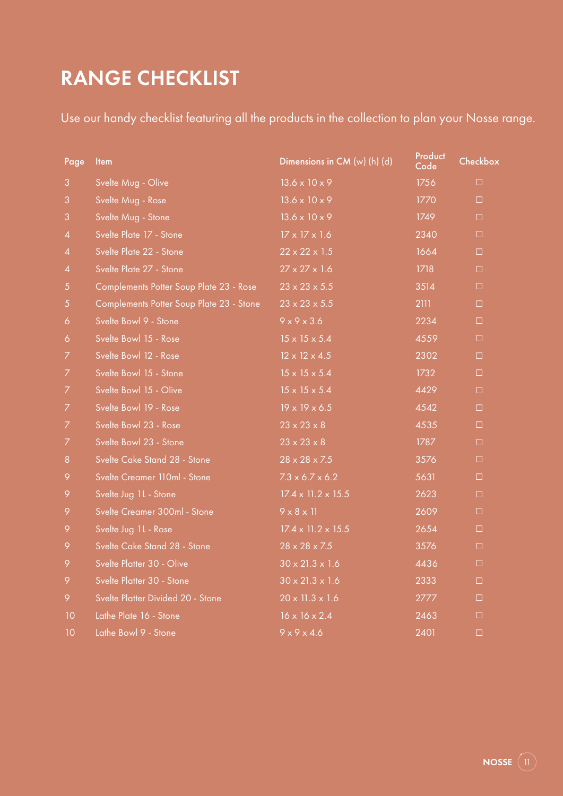# RANGE CHECKLIST

Use our handy checklist featuring all the products in the collection to plan your Nosse range.

| Page           | <b>Item</b>                              | Dimensions in $CM(w)$ (h) (d)  | Product<br>Code | Checkbox |
|----------------|------------------------------------------|--------------------------------|-----------------|----------|
| 3              | Svelte Mug - Olive                       | $13.6 \times 10 \times 9$      | 1756            | $\Box$   |
| 3              | Svelte Mug - Rose                        | $13.6 \times 10 \times 9$      | 1770            | $\Box$   |
| 3              | Svelte Mug - Stone                       | $13.6 \times 10 \times 9$      | 1749            | □        |
| $\overline{4}$ | Svelte Plate 17 - Stone                  | $17 \times 17 \times 1.6$      | 2340            | $\Box$   |
| $\overline{4}$ | Svelte Plate 22 - Stone                  | $22 \times 22 \times 1.5$      | 1664            | $\Box$   |
| $\overline{4}$ | Svelte Plate 27 - Stone                  | $27 \times 27 \times 1.6$      | 1718            | $\Box$   |
| 5              | Complements Potter Soup Plate 23 - Rose  | $23 \times 23 \times 5.5$      | 3514            | □        |
| $\sqrt{5}$     | Complements Potter Soup Plate 23 - Stone | $23 \times 23 \times 5.5$      | 2111            | $\Box$   |
| 6              | Svelte Bowl 9 - Stone                    | $9 \times 9 \times 3.6$        | 2234            | $\Box$   |
| 6              | Svelte Bowl 15 - Rose                    | $15 \times 15 \times 5.4$      | 4559            | $\Box$   |
| 7              | Svelte Bowl 12 - Rose                    | $12 \times 12 \times 4.5$      | 2302            | $\Box$   |
| 7              | Svelte Bowl 15 - Stone                   | $15 \times 15 \times 5.4$      | 1732            | □        |
| 7              | Svelte Bowl 15 - Olive                   | $15 \times 15 \times 5.4$      | 4429            | $\Box$   |
| 7              | Svelte Bowl 19 - Rose                    | $19 \times 19 \times 6.5$      | 4542            | $\Box$   |
| 7              | Svelte Bowl 23 - Rose                    | $23 \times 23 \times 8$        | 4535            | $\Box$   |
| 7              | Svelte Bowl 23 - Stone                   | $23 \times 23 \times 8$        | 1787            | $\Box$   |
| 8              | Svelte Cake Stand 28 - Stone             | $28 \times 28 \times 7.5$      | 3576            | $\Box$   |
| 9              | Svelte Creamer 110ml - Stone             | $7.3 \times 6.7 \times 6.2$    | 5631            | $\Box$   |
| 9              | Svelte Jug 1L - Stone                    | $17.4 \times 11.2 \times 15.5$ | 2623            | $\Box$   |
| 9              | Svelte Creamer 300ml - Stone             | $9 \times 8 \times 11$         | 2609            | $\Box$   |
| 9              | Svelte Jug 1L - Rose                     | $17.4 \times 11.2 \times 15.5$ | 2654            | □        |
| 9              | Svelte Cake Stand 28 - Stone             | $28 \times 28 \times 7.5$      | 3576            | $\Box$   |
| 9              | Svelte Platter 30 - Olive                | $30 \times 21.3 \times 1.6$    | 4436            | $\Box$   |
| 9              | Svelte Platter 30 - Stone                | $30 \times 21.3 \times 1.6$    | 2333            | $\Box$   |
| 9              | Svelte Platter Divided 20 - Stone        | $20 \times 11.3 \times 1.6$    | 2777            | $\Box$   |
| 10             | Lathe Plate 16 - Stone                   | $16 \times 16 \times 2.4$      | 2463            | □        |
| 10             | Lathe Bowl 9 - Stone                     | $9 \times 9 \times 4.6$        | 2401            | □        |